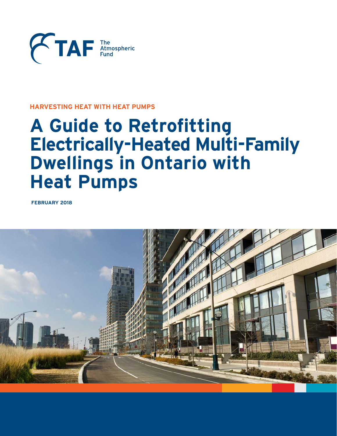

# **HARVESTING HEAT WITH HEAT PUMPS**

# **A Guide to Retrofitting Electrically-Heated Multi-Family Dwellings in Ontario with Heat Pumps**

**FEBRUARY 2018**

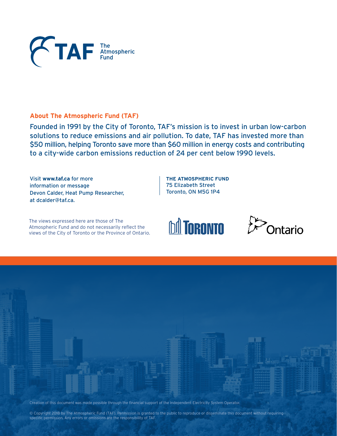

# **About The Atmospheric Fund (TAF)**

Founded in 1991 by the City of Toronto, TAF's mission is to invest in urban low-carbon solutions to reduce emissions and air pollution. To date, TAF has invested more than \$50 million, helping Toronto save more than \$60 million in energy costs and contributing to a city-wide carbon emissions reduction of 24 per cent below 1990 levels.

Visit **www.taf.ca** for more information or message Devon Calder, Heat Pump Researcher, at dcalder@taf.ca.

**THE ATMOSPHERIC FUND** 75 Elizabeth Street Toronto, ON M5G 1P4

The views expressed here are those of The Atmospheric Fund and do not necessarily reflect the views of the City of Toronto or the Province of Ontario.







© Copyright 2018 by The Atmospheric Fund (TAF). Permission is granted to the public to reproduce or disseminate this document without requiring specific permission. Any errors or omissions are the responsibility of TAF.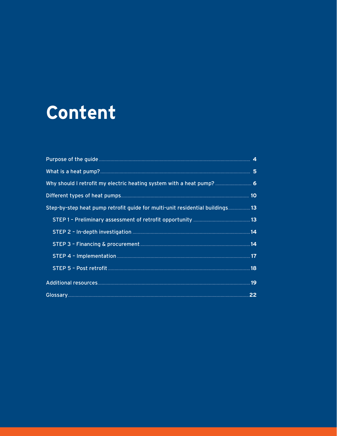# Content

| Why should I retrofit my electric heating system with a heat pump? 6          |  |
|-------------------------------------------------------------------------------|--|
|                                                                               |  |
| Step-by-step heat pump retrofit guide for multi-unit residential buildings 13 |  |
|                                                                               |  |
|                                                                               |  |
|                                                                               |  |
|                                                                               |  |
|                                                                               |  |
|                                                                               |  |
|                                                                               |  |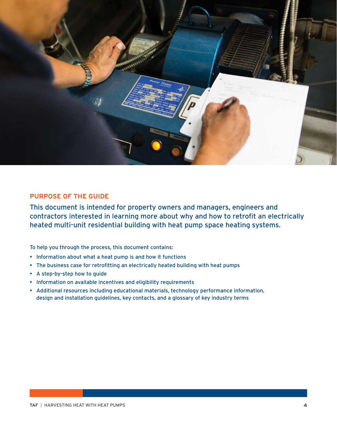

# **PURPOSE OF THE GUIDE**

This document is intended for property owners and managers, engineers and contractors interested in learning more about why and how to retrofit an electrically heated multi-unit residential building with heat pump space heating systems.

To help you through the process, this document contains:

- Information about what a heat pump is and how it functions
- The business case for retrofitting an electrically heated building with heat pumps
- A step-by-step how to guide
- Information on available incentives and eligibility requirements
- Additional resources including educational materials, technology performance information, design and installation guidelines, key contacts, and a glossary of key industry terms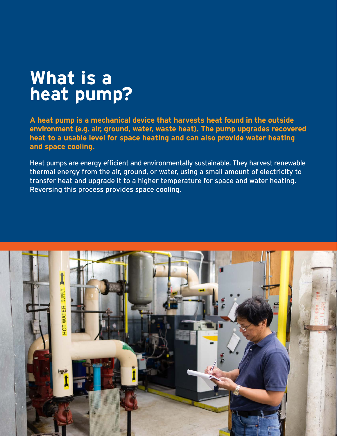# **What is a heat pump?**

**A heat pump is a mechanical device that harvests heat found in the outside environment (e.g. air, ground, water, waste heat). The pump upgrades recovered heat to a usable level for space heating and can also provide water heating and space cooling.** 

Heat pumps are energy efficient and environmentally sustainable. They harvest renewable thermal energy from the air, ground, or water, using a small amount of electricity to transfer heat and upgrade it to a higher temperature for space and water heating. Reversing this process provides space cooling.

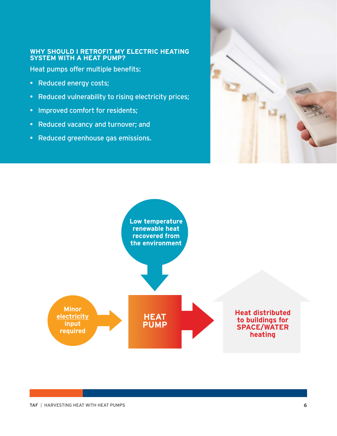# **WHY SHOULD I RETROFIT MY ELECTRIC HEATING SYSTEM WITH A HEAT PUMP?**

Heat pumps offer multiple benefits:

- Reduced energy costs;
- Reduced vulnerability to rising electricity prices;
- Improved comfort for residents;
- Reduced vacancy and turnover; and
- Reduced greenhouse gas emissions.



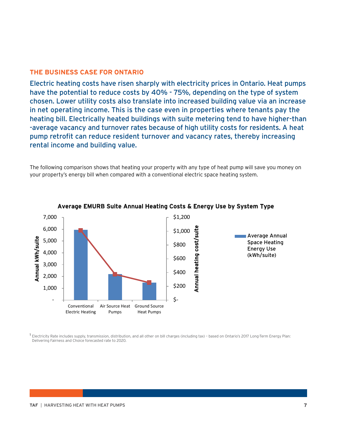# **THE BUSINESS CASE FOR ONTARIO**

Electric heating costs have risen sharply with electricity prices in Ontario. Heat pumps have the potential to reduce costs by 40% - 75%, depending on the type of system chosen. Lower utility costs also translate into increased building value via an increase in net operating income. This is the case even in properties where tenants pay the heating bill. Electrically heated buildings with suite metering tend to have higher-than -average vacancy and turnover rates because of high utility costs for residents. A heat pump retrofit can reduce resident turnover and vacancy rates, thereby increasing rental income and building value.

The following comparison shows that heating your property with any type of heat pump will save you money on your property's energy bill when compared with a conventional electric space heating system.



#### Average EMURB Suite Annual Heating Costs & Energy Use by System Type

**Electricity Rate includes supply, transmission, distribution, and all other on bill charges (including tax) – based on Ontario's 2017 Long-Term Energy Plan: Delivering Fairness and Choice forecasted rate to 2020.**

<sup>1</sup> Electricity Rate includes supply, transmission, distribution, and all other on bill charges (including tax) – based on Ontario's 2017 Long-Term Energy Plan: Delivering Fairness and Choice forecasted rate to 2020.

### **Forecasted Ontario Residential Electricity Rate (\$/kWh)**



\$0.2500

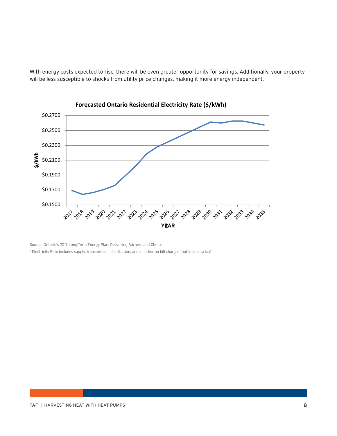

Riectricity Rate includes Supply, transmission, distribution, and all other on bill charges (including Rax) — based on<br>Will be less susceptible to shooks from utility price changes, making it more energy independent. **Ontario's 2017 Long-Term Energy Plan: Delivering Fairness and Choice forecasted rate to 2020.**



**Forecasted Ontario Residential Electricity Rate (\$/kWh)** 

**Electricity Rate includes supply, transmission, distribution, and all other on bill charges (including tax)**<br>Source: Ontario's 2017 Long-Term Energy Plan: Delivering Fairness and Choice  $^2$  Electricity Rate includes supply, transmission, distribution, and all other on bill charges (not including tax)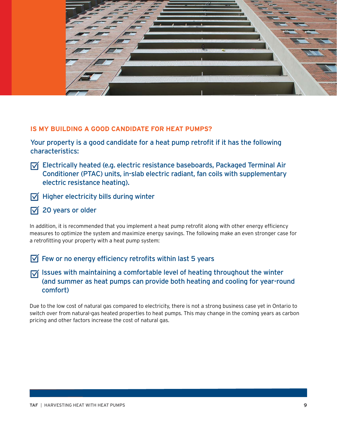

# **IS MY BUILDING A GOOD CANDIDATE FOR HEAT PUMPS?**

Your property is a good candidate for a heat pump retrofit if it has the following characteristics:

- $\sqrt{ }$  Electrically heated (e.g. electric resistance baseboards, Packaged Terminal Air Conditioner (PTAC) units, in-slab electric radiant, fan coils with supplementary electric resistance heating).
- $\sqrt{ }$  Higher electricity bills during winter
- 20 years or older  $\overline{\mathsf{M}}$

In addition, it is recommended that you implement a heat pump retrofit along with other energy efficiency measures to optimize the system and maximize energy savings. The following make an even stronger case for a retrofitting your property with a heat pump system:

 $\sqrt{ }$  Few or no energy efficiency retrofits within last 5 years

 $\sqrt{ }$  Issues with maintaining a comfortable level of heating throughout the winter (and summer as heat pumps can provide both heating and cooling for year-round comfort)

Due to the low cost of natural gas compared to electricity, there is not a strong business case yet in Ontario to switch over from natural-gas heated properties to heat pumps. This may change in the coming years as carbon pricing and other factors increase the cost of natural gas.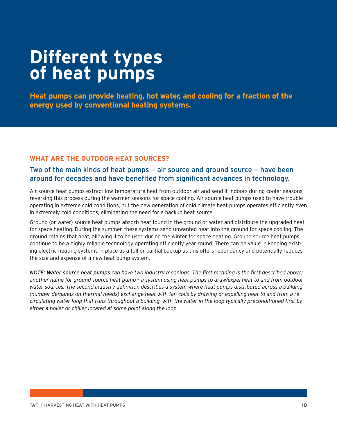# **Different types of heat pumps**

**Heat pumps can provide heating, hot water, and cooling for a fraction of the energy used by conventional heating systems.** 

# **WHAT ARE THE OUTDOOR HEAT SOURCES?**

# Two of the main kinds of heat pumps — air source and ground source — have been around for decades and have benefited from significant advances in technology.

Air source heat pumps extract low-temperature heat from outdoor air and send it indoors during cooler seasons, reversing this process during the warmer seasons for space cooling. Air source heat pumps used to have trouble operating in extreme cold conditions, but the new generation of cold climate heat pumps operates efficiently even in extremely cold conditions, eliminating the need for a backup heat source.

Ground (or water) source heat pumps absorb heat found in the ground or water and distribute the upgraded heat for space heating. During the summer, these systems send unwanted heat into the ground for space cooling. The ground retains that heat, allowing it to be used during the winter for space heating. Ground source heat pumps continue to be a highly reliable technology operating efficiently year round. There can be value in keeping existing electric heating systems in place as a full or partial backup as this offers redundancy and potentially reduces the size and expense of a new heat pump system.

*NOTE: Water source heat pumps can have two industry meanings. The first meaning is the first described above; another name for ground source heat pump – a system using heat pumps to draw/expel heat to and from outdoor water sources. The second industry definition describes a system where heat pumps distributed across a building (number demands on thermal needs) exchange heat with fan coils by drawing or expelling heat to and from a recirculating water loop that runs throughout a building, with the water in the loop typically preconditioned first by either a boiler or chiller located at some point along the loop.*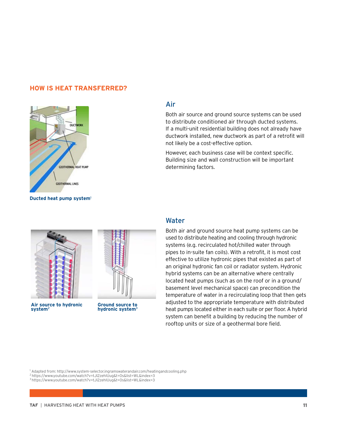### **HOW IS HEAT TRANSFERRED?**



**Ducted heat pump system**<sup>1</sup>



Both air source and ground source systems can be used to distribute conditioned air through ducted systems. If a multi-unit residential building does not already have ductwork installed, new ductwork as part of a retrofit will not likely be a cost-effective option.

However, each business case will be context specific. Building size and wall construction will be important determining factors.



**Air source to hydronic system**<sup>2</sup>



**Ground source to hydronic system**3

# Water

Both air and ground source heat pump systems can be used to distribute heating and cooling through hydronic systems (e.g. recirculated hot/chilled water through pipes to in-suite fan coils). With a retrofit, it is most cost effective to utilize hydronic pipes that existed as part of an original hydronic fan coil or radiator system. Hydronic hybrid systems can be an alternative where centrally located heat pumps (such as on the roof or in a ground/ basement level mechanical space) can precondition the temperature of water in a recirculating loop that then gets adjusted to the appropriate temperature with distributed heat pumps located either in each suite or per floor. A hybrid system can benefit a building by reducing the number of rooftop units or size of a geothermal bore field.

1 Adapted from: http://www.system-selector.ingramswaterandair.com/heatingandcooling.php

3 https://www.youtube.com/watch?v=tJl2zehIUug&t=0s&list=WL&index=3

<sup>2</sup> https://www.youtube.com/watch?v=tJl2zehIUug&t=0s&list=WL&index=3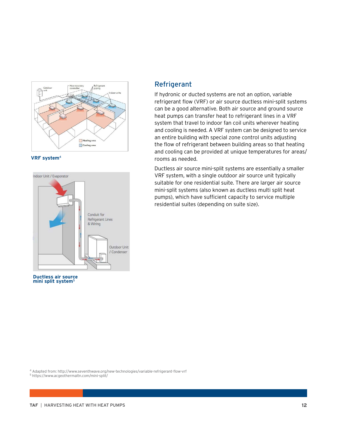





**Ductless air source mini split system**<sup>5</sup>

# Refrigerant

If hydronic or ducted systems are not an option, variable refrigerant flow (VRF) or air source ductless mini-split systems can be a good alternative. Both air source and ground source heat pumps can transfer heat to refrigerant lines in a VRF system that travel to indoor fan coil units wherever heating and cooling is needed. A VRF system can be designed to service an entire building with special zone control units adjusting the flow of refrigerant between building areas so that heating and cooling can be provided at unique temperatures for areas/ rooms as needed.

Ductless air source mini-split systems are essentially a smaller VRF system, with a single outdoor air source unit typically suitable for one residential suite. There are larger air source mini-split systems (also known as ductless multi split heat pumps), which have sufficient capacity to service multiple residential suites (depending on suite size).

4 Adapted from: http://www.seventhwave.org/new-technologies/variable-refrigerant-flow-vrf

5 https://www.acgeothermaltn.com/mini-split/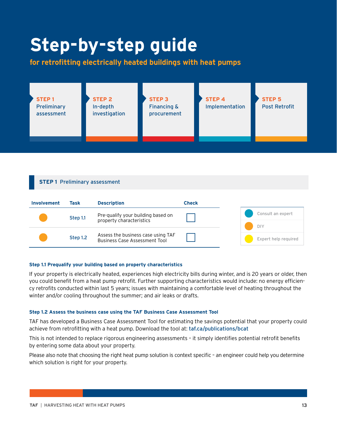# **Step-by-step guide**

**for retrofitting electrically heated buildings with heat pumps**



#### **STEP 1** Preliminary assessment



#### **Step 1.1 Prequalify your building based on property characteristics**

If your property is electrically heated, experiences high electricity bills during winter, and is 20 years or older, then you could benefit from a heat pump retrofit. Further supporting characteristics would include: no energy efficiency retrofits conducted within last 5 years; issues with maintaining a comfortable level of heating throughout the winter and/or cooling throughout the summer; and air leaks or drafts.

#### **Step 1.2 Assess the business case using the TAF Business Case Assessment Tool**

TAF has developed a Business Case Assessment Tool for estimating the savings potential that your property could achieve from retrofitting with a heat pump. Download the tool at: taf.ca/publications/bcat

This is not intended to replace rigorous engineering assessments – it simply identifies potential retrofit benefits by entering some data about your property.

Please also note that choosing the right heat pump solution is context specific – an engineer could help you determine which solution is right for your property.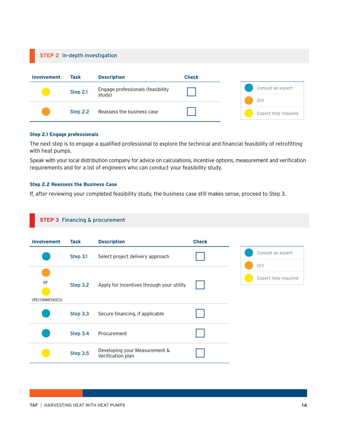### **STEP 2** In-depth investigation

| Involvement | Task     | <b>Description</b>                          | <b>Check</b> |  |                          |
|-------------|----------|---------------------------------------------|--------------|--|--------------------------|
|             | Step 2.1 | Engage professionals (feasibility<br>study) |              |  | Consult an expert<br>DIY |
|             | Step 2.2 | Reassess the business case                  |              |  | Expert help required     |

#### **Step 2.1 Engage professionals**

The next step is to engage a qualified professional to explore the technical and financial feasibility of retrofitting with heat pumps.

Speak with your local distribution company for advice on calculations, incentive options, measurement and verification requirements and for a list of engineers who can conduct your feasibility study.

#### **Step 2.2 Reassess the Business Case**

If, after reviewing your completed feasibility study, the business case still makes sense, proceed to Step 3.

#### **STEP 3** Financing & procurement

| <b>Involvement</b>  | Task     | <b>Description</b>                                 | <b>Check</b> |                      |
|---------------------|----------|----------------------------------------------------|--------------|----------------------|
|                     | Step 3.1 | Select project delivery approach                   |              | Consult an expert    |
|                     |          |                                                    |              | DIY                  |
| or<br>(RECOMMENDED) | Step 3.2 | Apply for incentives through your utility          |              | Expert help required |
|                     | Step 3.3 | Secure financing, if applicable                    |              |                      |
|                     | Step 3.4 | Procurement                                        |              |                      |
|                     | Step 3.5 | Developing your Measurement &<br>Verification plan |              |                      |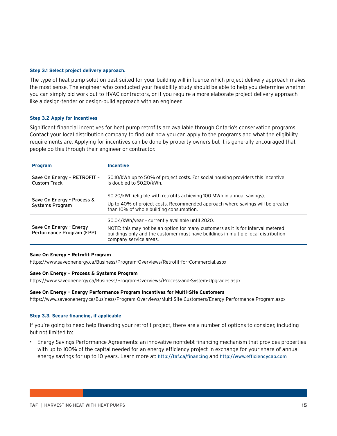#### **Step 3.1 Select project delivery approach.**

The type of heat pump solution best suited for your building will influence which project delivery approach makes the most sense. The engineer who conducted your feasibility study should be able to help you determine whether you can simply bid work out to HVAC contractors, or if you require a more elaborate project delivery approach like a design-tender or design-build approach with an engineer.

#### **Step 3.2 Apply for incentives**

Significant financial incentives for heat pump retrofits are available through Ontario's conservation programs. Contact your local distribution company to find out how you can apply to the programs and what the eligibility requirements are. Applying for incentives can be done by property owners but it is generally encouraged that people do this through their engineer or contractor.

| <b>Program</b>                                       | <b>Incentive</b>                                                                                                                                                                                                                                      |
|------------------------------------------------------|-------------------------------------------------------------------------------------------------------------------------------------------------------------------------------------------------------------------------------------------------------|
| Save On Energy - RETROFIT -<br><b>Custom Track</b>   | \$0.10/kWh up to 50% of project costs. For social housing providers this incentive<br>is doubled to \$0.20/kWh.                                                                                                                                       |
| Save On Energy - Process &<br>Systems Program        | \$0.20/kWh (eligible with retrofits achieving 100 MWh in annual savings).<br>Up to 40% of project costs. Recommended approach where savings will be greater<br>than 10% of whole building consumption.                                                |
| Save On Energy - Energy<br>Performance Program (EPP) | \$0.04/kWh/year - currently available until 2020.<br>NOTE: this may not be an option for many customers as it is for interval metered<br>buildings only and the customer must have buildings in multiple local distribution<br>company service areas. |

#### **Save On Energy – Retrofit Program**

https://www.saveonenergy.ca/Business/Program-Overviews/Retrofit-for-Commercial.aspx

#### **Save On Energy – Process & Systems Program**

https://www.saveonenergy.ca/Business/Program-Overviews/Process-and-System-Upgrades.aspx

#### **Save On Energy – Energy Performance Program Incentives for Multi-Site Customers**

https://www.saveonenergy.ca/Business/Program-Overviews/Multi-Site-Customers/Energy-Performance-Program.aspx

#### **Step 3.3. Secure financing, if applicable**

If you're going to need help financing your retrofit project, there are a number of options to consider, including but not limited to:

• Energy Savings Performance Agreements: an innovative non-debt financing mechanism that provides properties with up to 100% of the capital needed for an energy efficiency project in exchange for your share of annual energy savings for up to 10 years. Learn more at: http://taf.ca/financing and http://www.efficiencycap.com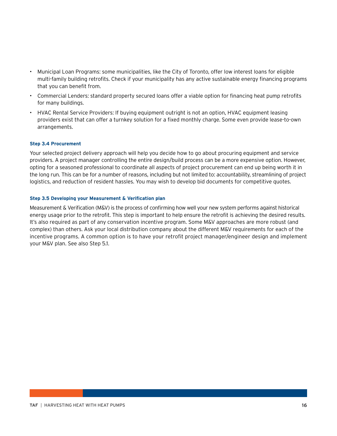- Municipal Loan Programs: some municipalities, like the City of Toronto, offer low interest loans for eligible multi-family building retrofits. Check if your municipality has any active sustainable energy financing programs that you can benefit from.
- Commercial Lenders: standard property secured loans offer a viable option for financing heat pump retrofits for many buildings.
- HVAC Rental Service Providers: If buying equipment outright is not an option, HVAC equipment leasing providers exist that can offer a turnkey solution for a fixed monthly charge. Some even provide lease-to-own arrangements.

#### **Step 3.4 Procurement**

Your selected project delivery approach will help you decide how to go about procuring equipment and service providers. A project manager controlling the entire design/build process can be a more expensive option. However, opting for a seasoned professional to coordinate all aspects of project procurement can end up being worth it in the long run. This can be for a number of reasons, including but not limited to: accountability, streamlining of project logistics, and reduction of resident hassles. You may wish to develop bid documents for competitive quotes.

#### **Step 3.5 Developing your Measurement & Verification plan**

Measurement & Verification (M&V) is the process of confirming how well your new system performs against historical energy usage prior to the retrofit. This step is important to help ensure the retrofit is achieving the desired results. It's also required as part of any conservation incentive program. Some M&V approaches are more robust (and complex) than others. Ask your local distribution company about the different M&V requirements for each of the incentive programs. A common option is to have your retrofit project manager/engineer design and implement your M&V plan. See also Step 5.1.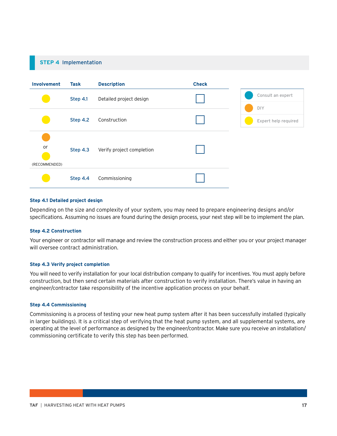# **STEP 4** Implementation **Involvement Task Description Check** Step 4.1 Detailed project design Step 4.2 Construction or (RECOMMENDED) Step 4.3 Verify project completion Step 4.4 Commissioning Consult an expert DIY Expert help required

#### **Step 4.1 Detailed project design**

Depending on the size and complexity of your system, you may need to prepare engineering designs and/or specifications. Assuming no issues are found during the design process, your next step will be to implement the plan.

#### **Step 4.2 Construction**

Your engineer or contractor will manage and review the construction process and either you or your project manager will oversee contract administration.

#### **Step 4.3 Verify project completion**

You will need to verify installation for your local distribution company to qualify for incentives. You must apply before construction, but then send certain materials after construction to verify installation. There's value in having an engineer/contractor take responsibility of the incentive application process on your behalf.

#### **Step 4.4 Commissioning**

Commissioning is a process of testing your new heat pump system after it has been successfully installed (typically in larger buildings). It is a critical step of verifying that the heat pump system, and all supplemental systems, are operating at the level of performance as designed by the engineer/contractor. Make sure you receive an installation/ commissioning certificate to verify this step has been performed.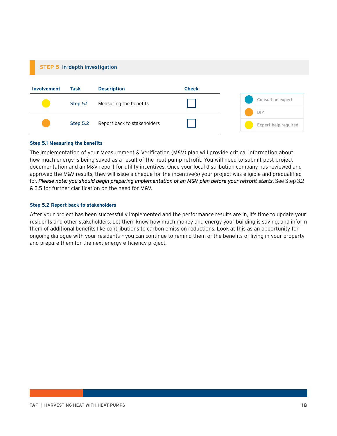#### **STEP 5** In-depth investigation



#### **Step 5.1 Measuring the benefits**

The implementation of your Measurement & Verification (M&V) plan will provide critical information about how much energy is being saved as a result of the heat pump retrofit. You will need to submit post project documentation and an M&V report for utility incentives. Once your local distribution company has reviewed and approved the M&V results, they will issue a cheque for the incentive(s) your project was eligible and prequalified for. *Please note: you should begin preparing implementation of an M&V plan before your retrofit starts*. See Step 3.2 & 3.5 for further clarification on the need for M&V.

#### **Step 5.2 Report back to stakeholders**

After your project has been successfully implemented and the performance results are in, it's time to update your residents and other stakeholders. Let them know how much money and energy your building is saving, and inform them of additional benefits like contributions to carbon emission reductions. Look at this as an opportunity for ongoing dialogue with your residents – you can continue to remind them of the benefits of living in your property and prepare them for the next energy efficiency project.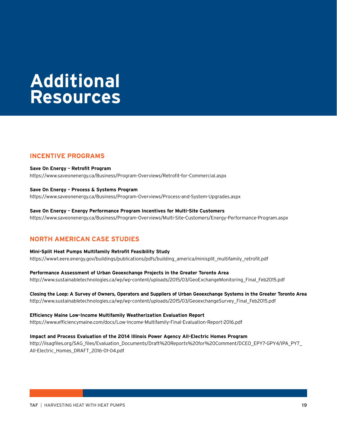# **Additional Resources**

# **INCENTIVE PROGRAMS**

**Save On Energy – Retrofit Program** https://www.saveonenergy.ca/Business/Program-Overviews/Retrofit-for-Commercial.aspx

#### **Save On Energy – Process & Systems Program**

https://www.saveonenergy.ca/Business/Program-Overviews/Process-and-System-Upgrades.aspx

**Save On Energy – Energy Performance Program Incentives for Multi-Site Customers** https://www.saveonenergy.ca/Business/Program-Overviews/Multi-Site-Customers/Energy-Performance-Program.aspx

# **NORTH AMERICAN CASE STUDIES**

**Mini-Split Heat Pumps Multifamily Retrofit Feasibility Study**  https://www1.eere.energy.gov/buildings/publications/pdfs/building\_america/minisplit\_multifamily\_retrofit.pdf

**Performance Assessment of Urban Geoexchange Projects in the Greater Toronto Area**  http://www.sustainabletechnologies.ca/wp/wp-content/uploads/2015/03/GeoExchangeMonitoring\_Final\_Feb2015.pdf

**Closing the Loop: A Survey of Owners, Operators and Suppliers of Urban Geoexchange Systems in the Greater Toronto Area**  http://www.sustainabletechnologies.ca/wp/wp-content/uploads/2015/03/GeoexchangeSurvey\_Final\_Feb2015.pdf

**Efficiency Maine Low-Income Multifamily Weatherization Evaluation Report**  https://www.efficiencymaine.com/docs/Low-Income-Multifamily-Final-Evaluation-Report-2016.pdf

**Impact and Process Evaluation of the 2014 Illinois Power Agency All-Electric Homes Program** 

http://ilsagfiles.org/SAG\_files/Evaluation\_Documents/Draft%20Reports%20for%20Comment/DCEO\_EPY7-GPY4/IPA\_PY7 All-Electric\_Homes\_DRAFT\_2016-01-04.pdf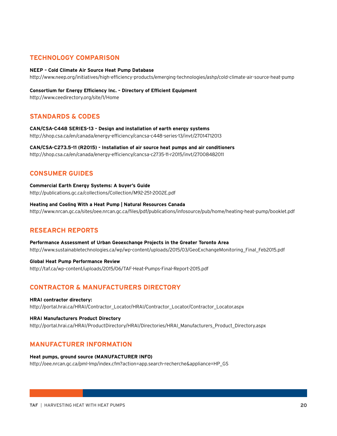# **TECHNOLOGY COMPARISON**

#### **NEEP – Cold Climate Air Source Heat Pump Database**

http://www.neep.org/initiatives/high-efficiency-products/emerging-technologies/ashp/cold-climate-air-source-heat-pump

#### **Consortium for Energy Efficiency Inc. – Directory of Efficient Equipment**

http://www.ceedirectory.org/site/1/Home

### **STANDARDS & CODES**

**CAN/CSA-C448 SERIES-13 - Design and installation of earth energy systems** http://shop.csa.ca/en/canada/energy-efficiency/cancsa-c448-series-13/invt/27014712013

# **CAN/CSA-C273.5-11 (R2015) - Installation of air source heat pumps and air conditioners**

http://shop.csa.ca/en/canada/energy-efficiency/cancsa-c2735-11-r2015/invt/27008482011

### **CONSUMER GUIDES**

**Commercial Earth Energy Systems: A buyer's Guide** http://publications.gc.ca/collections/Collection/M92-251-2002E.pdf

**Heating and Cooling With a Heat Pump | Natural Resources Canada** http://www.nrcan.gc.ca/sites/oee.nrcan.gc.ca/files/pdf/publications/infosource/pub/home/heating-heat-pump/booklet.pdf

### **RESEARCH REPORTS**

**Performance Assessment of Urban Geoexchange Projects in the Greater Toronto Area** http://www.sustainabletechnologies.ca/wp/wp-content/uploads/2015/03/GeoExchangeMonitoring\_Final\_Feb2015.pdf

#### **Global Heat Pump Performance Review** http://taf.ca/wp-content/uploads/2015/06/TAF-Heat-Pumps-Final-Report-2015.pdf

## **CONTRACTOR & MANUFACTURERS DIRECTORY**

#### **HRAI contractor directory:**

http://portal.hrai.ca/HRAI/Contractor\_Locator/HRAI/Contractor\_Locator/Contractor\_Locator.aspx

#### **HRAI Manufacturers Product Directory**

http://portal.hrai.ca/HRAI/ProductDirectory/HRAI/Directories/HRAI\_Manufacturers\_Product\_Directory.aspx

### **MANUFACTURER INFORMATION**

#### **Heat pumps, ground source (MANUFACTURER INFO)**

http://oee.nrcan.gc.ca/pml-lmp/index.cfm?action=app.search-recherche&appliance=HP\_GS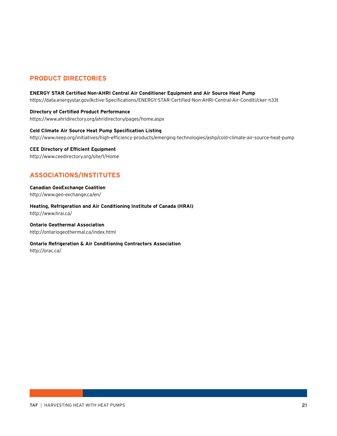# **PRODUCT DIRECTORIES**

#### **ENERGY STAR Certified Non-AHRI Central Air Conditioner Equipment and Air Source Heat Pump**

https://data.energystar.gov/Active-Specifications/ENERGY-STAR-Certified-Non-AHRI-Central-Air-Conditi/cker-n33t

**Directory of Certified Product Performance** https://www.ahridirectory.org/ahridirectory/pages/home.aspx

**Cold Climate Air Source Heat Pump Specification Listing** http://www.neep.org/initiatives/high-efficiency-products/emerging-technologies/ashp/cold-climate-air-source-heat-pump

**CEE Directory of Efficient Equipment** http://www.ceedirectory.org/site/1/Home

# **ASSOCIATIONS/INSTITUTES**

**Canadian GeoExchange Coalition** http://www.geo-exchange.ca/en/

**Heating, Refrigeration and Air Conditioning Institute of Canada (HRAI)**  http://www.hrai.ca/

**Ontario Geothermal Association** http://ontariogeothermal.ca/index.html

**Ontario Refrigeration & Air Conditioning Contractors Association**

http://orac.ca/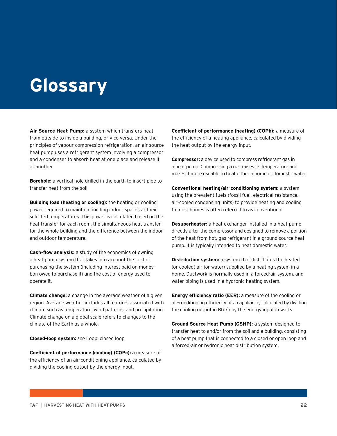# **Glossary**

**Air Source Heat Pump:** a system which transfers heat from outside to inside a building, or vice versa. Under the principles of vapour compression refrigeration, an air source heat pump uses a refrigerant system involving a compressor and a condenser to absorb heat at one place and release it at another.

**Borehole:** a vertical hole drilled in the earth to insert pipe to transfer heat from the soil.

**Building load (heating or cooling):** the heating or cooling power required to maintain building indoor spaces at their selected temperatures. This power is calculated based on the heat transfer for each room, the simultaneous heat transfer for the whole building and the difference between the indoor and outdoor temperature.

**Cash-flow analysis:** a study of the economics of owning a heat pump system that takes into account the cost of purchasing the system (including interest paid on money borrowed to purchase it) and the cost of energy used to operate it.

**Climate change:** a change in the average weather of a given region. Average weather includes all features associated with climate such as temperature, wind patterns, and precipitation. Climate change on a global scale refers to changes to the climate of the Earth as a whole.

**Closed-loop system:** *see* Loop: closed loop.

**Coefficient of performance (cooling) (COPc):** a measure of the efficiency of an air-conditioning appliance, calculated by dividing the cooling output by the energy input.

**Coefficient of performance (heating) (COPh):** a measure of the efficiency of a heating appliance, calculated by dividing the heat output by the energy input.

**Compressor:** a device used to compress refrigerant gas in a heat pump. Compressing a gas raises its temperature and makes it more useable to heat either a home or domestic water.

**Conventional heating/air-conditioning system:** a system using the prevalent fuels (fossil fuel, electrical resistance, air-cooled condensing units) to provide heating and cooling to most homes is often referred to as conventional.

**Desuperheater:** a heat exchanger installed in a heat pump directly after the compressor and designed to remove a portion of the heat from hot, gas refrigerant in a ground source heat pump. It is typically intended to heat domestic water.

**Distribution system:** a system that distributes the heated (or cooled) air (or water) supplied by a heating system in a home. Ductwork is normally used in a forced-air system, and water piping is used in a hydronic heating system.

**Energy efficiency ratio (EER):** a measure of the cooling or air-conditioning efficiency of an appliance, calculated by dividing the cooling output in Btu/h by the energy input in watts.

**Ground Source Heat Pump (GSHP):** a system designed to transfer heat to and/or from the soil and a building, consisting of a heat pump that is connected to a closed or open loop and a forced-air or hydronic heat distribution system.